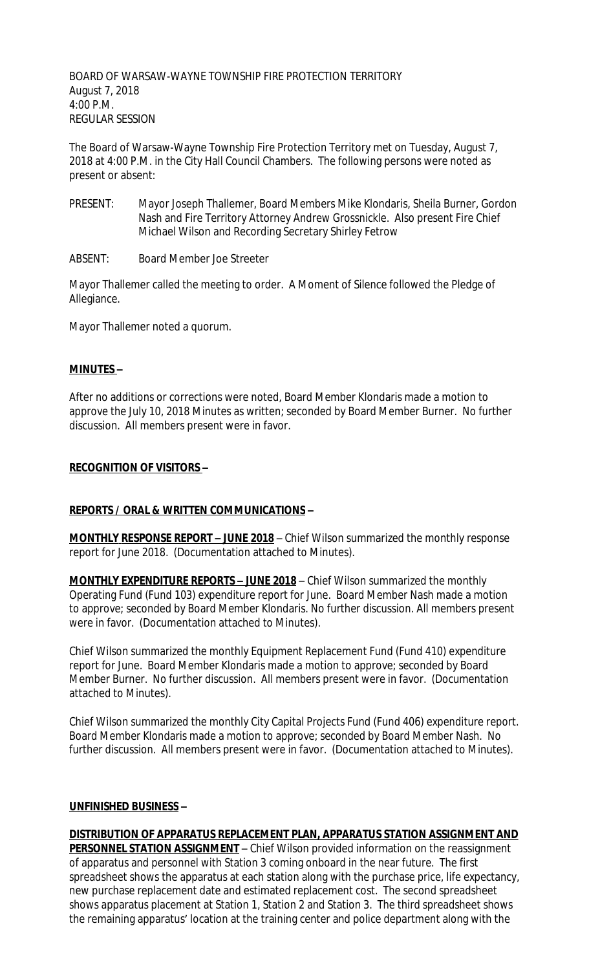BOARD OF WARSAW-WAYNE TOWNSHIP FIRE PROTECTION TERRITORY August 7, 2018 4:00 P.M. REGULAR SESSION

The Board of Warsaw-Wayne Township Fire Protection Territory met on Tuesday, August 7, 2018 at 4:00 P.M. in the City Hall Council Chambers. The following persons were noted as present or absent:

- PRESENT: Mayor Joseph Thallemer, Board Members Mike Klondaris, Sheila Burner, Gordon Nash and Fire Territory Attorney Andrew Grossnickle. Also present Fire Chief Michael Wilson and Recording Secretary Shirley Fetrow
- ABSENT: Board Member Joe Streeter

Mayor Thallemer called the meeting to order. A Moment of Silence followed the Pledge of Allegiance.

Mayor Thallemer noted a quorum.

#### **MINUTES –**

After no additions or corrections were noted, Board Member Klondaris made a motion to approve the July 10, 2018 Minutes as written; seconded by Board Member Burner. No further discussion. All members present were in favor.

#### **RECOGNITION OF VISITORS –**

# **REPORTS / ORAL & WRITTEN COMMUNICATIONS –**

**MONTHLY RESPONSE REPORT – JUNE 2018** – Chief Wilson summarized the monthly response report for June 2018. (Documentation attached to Minutes).

**MONTHLY EXPENDITURE REPORTS – JUNE 2018** – Chief Wilson summarized the monthly Operating Fund (Fund 103) expenditure report for June. Board Member Nash made a motion to approve; seconded by Board Member Klondaris. No further discussion. All members present were in favor. (Documentation attached to Minutes).

Chief Wilson summarized the monthly Equipment Replacement Fund (Fund 410) expenditure report for June. Board Member Klondaris made a motion to approve; seconded by Board Member Burner. No further discussion. All members present were in favor. (Documentation attached to Minutes).

Chief Wilson summarized the monthly City Capital Projects Fund (Fund 406) expenditure report. Board Member Klondaris made a motion to approve; seconded by Board Member Nash. No further discussion. All members present were in favor. (Documentation attached to Minutes).

### **UNFINISHED BUSINESS –**

**DISTRIBUTION OF APPARATUS REPLACEMENT PLAN, APPARATUS STATION ASSIGNMENT AND PERSONNEL STATION ASSIGNMENT** – Chief Wilson provided information on the reassignment of apparatus and personnel with Station 3 coming onboard in the near future. The first spreadsheet shows the apparatus at each station along with the purchase price, life expectancy, new purchase replacement date and estimated replacement cost. The second spreadsheet shows apparatus placement at Station 1, Station 2 and Station 3. The third spreadsheet shows the remaining apparatus' location at the training center and police department along with the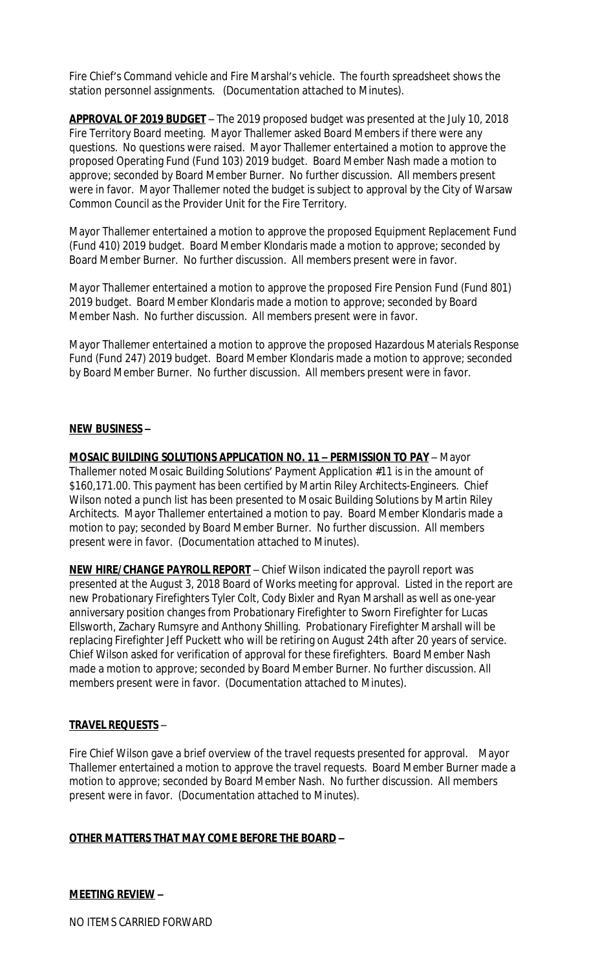Fire Chief's Command vehicle and Fire Marshal's vehicle. The fourth spreadsheet shows the station personnel assignments. (Documentation attached to Minutes).

**APPROVAL OF 2019 BUDGET** – The 2019 proposed budget was presented at the July 10, 2018 Fire Territory Board meeting. Mayor Thallemer asked Board Members if there were any questions. No questions were raised. Mayor Thallemer entertained a motion to approve the proposed Operating Fund (Fund 103) 2019 budget. Board Member Nash made a motion to approve; seconded by Board Member Burner. No further discussion. All members present were in favor. Mayor Thallemer noted the budget is subject to approval by the City of Warsaw Common Council as the Provider Unit for the Fire Territory.

Mayor Thallemer entertained a motion to approve the proposed Equipment Replacement Fund (Fund 410) 2019 budget. Board Member Klondaris made a motion to approve; seconded by Board Member Burner. No further discussion. All members present were in favor.

Mayor Thallemer entertained a motion to approve the proposed Fire Pension Fund (Fund 801) 2019 budget. Board Member Klondaris made a motion to approve; seconded by Board Member Nash. No further discussion. All members present were in favor.

Mayor Thallemer entertained a motion to approve the proposed Hazardous Materials Response Fund (Fund 247) 2019 budget. Board Member Klondaris made a motion to approve; seconded by Board Member Burner. No further discussion. All members present were in favor.

#### **NEW BUSINESS –**

**MOSAIC BUILDING SOLUTIONS APPLICATION NO. 11 – PERMISSION TO PAY** – Mayor Thallemer noted Mosaic Building Solutions' Payment Application #11 is in the amount of \$160,171.00. This payment has been certified by Martin Riley Architects-Engineers. Chief Wilson noted a punch list has been presented to Mosaic Building Solutions by Martin Riley Architects. Mayor Thallemer entertained a motion to pay. Board Member Klondaris made a motion to pay; seconded by Board Member Burner. No further discussion. All members present were in favor. (Documentation attached to Minutes).

**NEW HIRE/CHANGE PAYROLL REPORT** – Chief Wilson indicated the payroll report was presented at the August 3, 2018 Board of Works meeting for approval. Listed in the report are new Probationary Firefighters Tyler Colt, Cody Bixler and Ryan Marshall as well as one-year anniversary position changes from Probationary Firefighter to Sworn Firefighter for Lucas Ellsworth, Zachary Rumsyre and Anthony Shilling. Probationary Firefighter Marshall will be replacing Firefighter Jeff Puckett who will be retiring on August 24th after 20 years of service. Chief Wilson asked for verification of approval for these firefighters. Board Member Nash made a motion to approve; seconded by Board Member Burner. No further discussion. All members present were in favor. (Documentation attached to Minutes).

#### **TRAVEL REQUESTS** –

Fire Chief Wilson gave a brief overview of the travel requests presented for approval. Mayor Thallemer entertained a motion to approve the travel requests. Board Member Burner made a motion to approve; seconded by Board Member Nash. No further discussion. All members present were in favor. (Documentation attached to Minutes).

# **OTHER MATTERS THAT MAY COME BEFORE THE BOARD –**

# **MEETING REVIEW –**

NO ITEMS CARRIED FORWARD